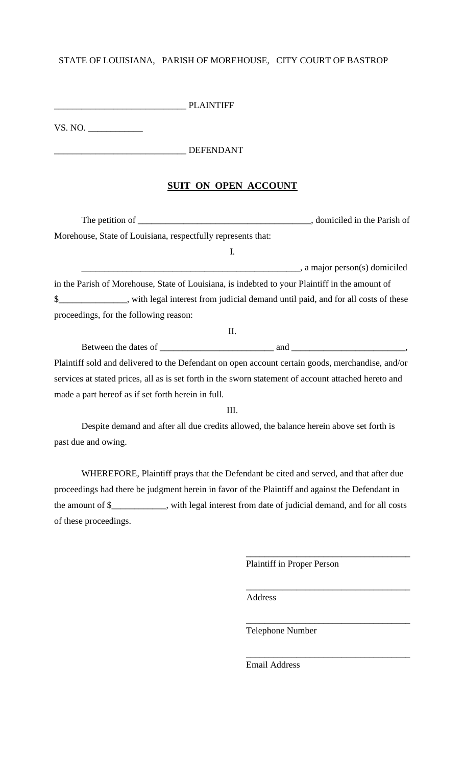## STATE OF LOUISIANA, PARISH OF MOREHOUSE, CITY COURT OF BASTROP

\_\_\_\_\_\_\_\_\_\_\_\_\_\_\_\_\_\_\_\_\_\_\_\_\_\_\_\_\_ PLAINTIFF

VS. NO. \_\_\_\_\_\_\_\_\_\_\_\_

## \_\_\_\_\_\_\_\_\_\_\_\_\_\_\_\_\_\_\_\_\_\_\_\_\_\_\_\_\_ DEFENDANT

## **SUIT ON OPEN ACCOUNT**

The petition of \_\_\_\_\_\_\_\_\_\_\_\_\_\_\_\_\_\_\_\_\_\_\_\_\_\_\_\_\_\_\_\_\_\_\_\_\_\_, domiciled in the Parish of Morehouse, State of Louisiana, respectfully represents that: I. \_\_\_\_\_\_\_\_\_\_\_\_\_\_\_\_\_\_\_\_\_\_\_\_\_\_\_\_\_\_\_\_\_\_\_\_\_\_\_\_\_\_\_\_\_\_\_\_, a major person(s) domiciled in the Parish of Morehouse, State of Louisiana, is indebted to your Plaintiff in the amount of \$\_\_\_\_\_\_\_\_\_\_\_\_\_\_\_, with legal interest from judicial demand until paid, and for all costs of these proceedings, for the following reason:

Between the dates of \_\_\_\_\_\_\_\_\_\_\_\_\_\_\_\_\_\_\_\_\_\_\_\_\_ and \_\_\_\_\_\_\_\_\_\_\_\_\_\_\_\_\_\_\_\_\_\_\_\_\_, Plaintiff sold and delivered to the Defendant on open account certain goods, merchandise, and/or services at stated prices, all as is set forth in the sworn statement of account attached hereto and made a part hereof as if set forth herein in full.

II.

III.

Despite demand and after all due credits allowed, the balance herein above set forth is past due and owing.

WHEREFORE, Plaintiff prays that the Defendant be cited and served, and that after due proceedings had there be judgment herein in favor of the Plaintiff and against the Defendant in the amount of \$\_\_\_\_\_\_\_\_\_\_\_\_, with legal interest from date of judicial demand, and for all costs of these proceedings.

Plaintiff in Proper Person

\_\_\_\_\_\_\_\_\_\_\_\_\_\_\_\_\_\_\_\_\_\_\_\_\_\_\_\_\_\_\_\_\_\_\_\_

\_\_\_\_\_\_\_\_\_\_\_\_\_\_\_\_\_\_\_\_\_\_\_\_\_\_\_\_\_\_\_\_\_\_\_\_

\_\_\_\_\_\_\_\_\_\_\_\_\_\_\_\_\_\_\_\_\_\_\_\_\_\_\_\_\_\_\_\_\_\_\_\_

\_\_\_\_\_\_\_\_\_\_\_\_\_\_\_\_\_\_\_\_\_\_\_\_\_\_\_\_\_\_\_\_\_\_\_\_

Address

Telephone Number

Email Address